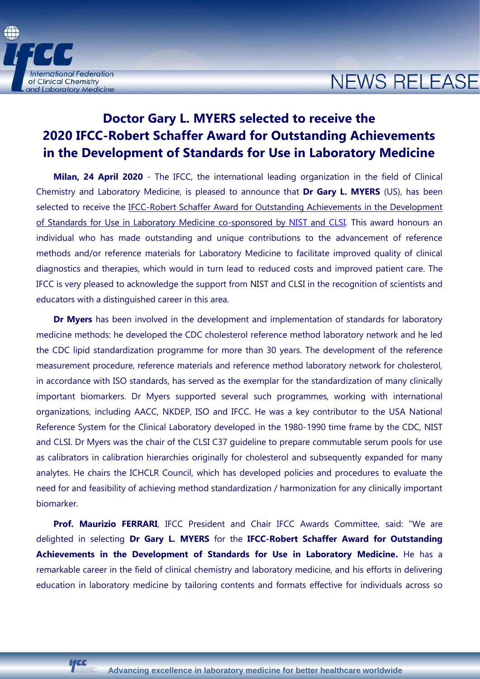

## **NEWS RELEASE**

## **Doctor Gary L. MYERS selected to receive the 2020 IFCC-Robert Schaffer Award for Outstanding Achievements in the Development of Standards for Use in Laboratory Medicine**

**Milan, 24 April 2020** - The IFCC, the international leading organization in the field of Clinical Chemistry and Laboratory Medicine, is pleased to announce that **Dr Gary L. MYERS** (US), has been selected to receive the IFCC-Robert Schaffer Award for Outstanding Achievements in the Development of Standards for Use in Laboratory Medicine co-sponsored by [NIST](https://www.nist.gov/) and [CLSI.](http://clsi.org/) This award honours an individual who has made outstanding and unique contributions to the advancement of reference methods and/or reference materials for Laboratory Medicine to facilitate improved quality of clinical diagnostics and therapies, which would in turn lead to reduced costs and improved patient care. The IFCC is very pleased to acknowledge the support from [NIST](https://www.nist.gov/) and [CLSI](http://clsi.org/) in the recognition of scientists and educators with a distinguished career in this area.

**Dr Myers** has been involved in the development and implementation of standards for laboratory medicine methods: he developed the CDC cholesterol reference method laboratory network and he led the CDC lipid standardization programme for more than 30 years. The development of the reference measurement procedure, reference materials and reference method laboratory network for cholesterol, in accordance with ISO standards, has served as the exemplar for the standardization of many clinically important biomarkers. Dr Myers supported several such programmes, working with international organizations, including AACC, NKDEP, ISO and IFCC. He was a key contributor to the USA National Reference System for the Clinical Laboratory developed in the 1980-1990 time frame by the CDC, NIST and CLSI. Dr Myers was the chair of the CLSI C37 guideline to prepare commutable serum pools for use as calibrators in calibration hierarchies originally for cholesterol and subsequently expanded for many analytes. He chairs the ICHCLR Council, which has developed policies and procedures to evaluate the need for and feasibility of achieving method standardization / harmonization for any clinically important biomarker.

**Prof. Maurizio FERRARI**, IFCC President and Chair IFCC Awards Committee, said: "We are delighted in selecting **Dr Gary L. MYERS** for the **IFCC-Robert Schaffer Award for Outstanding Achievements in the Development of Standards for Use in Laboratory Medicine.** He has a remarkable career in the field of clinical chemistry and laboratory medicine, and his efforts in delivering education in laboratory medicine by tailoring contents and formats effective for individuals across so